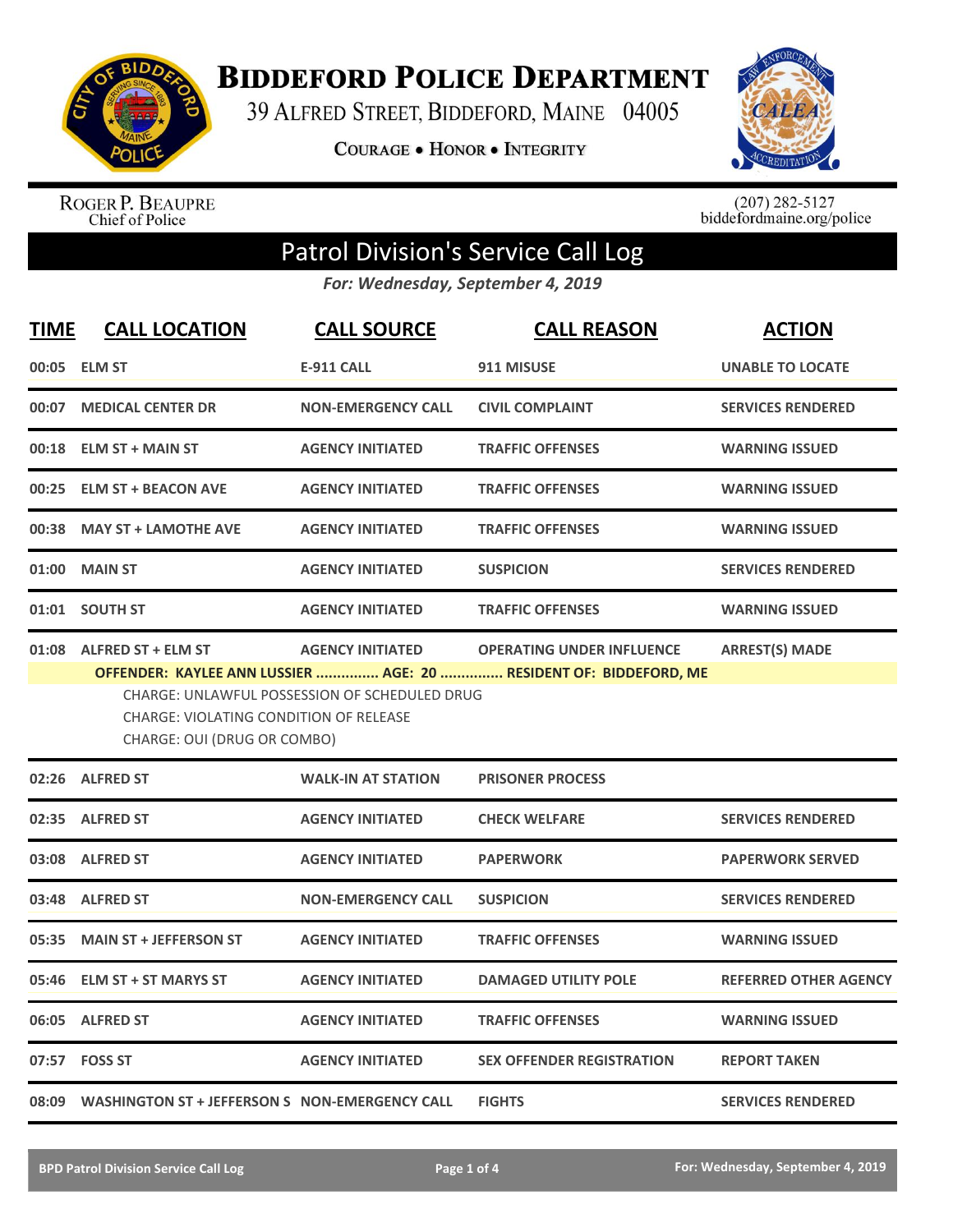

**BIDDEFORD POLICE DEPARTMENT** 

39 ALFRED STREET, BIDDEFORD, MAINE 04005

**COURAGE . HONOR . INTEGRITY** 



ROGER P. BEAUPRE<br>Chief of Police

 $(207)$  282-5127<br>biddefordmaine.org/police

## Patrol Division's Service Call Log

*For: Wednesday, September 4, 2019*

| <b>TIME</b> | <b>CALL LOCATION</b>                                                                                     | <b>CALL SOURCE</b>                                                              | <b>CALL REASON</b>                                                                                    | <b>ACTION</b>                |
|-------------|----------------------------------------------------------------------------------------------------------|---------------------------------------------------------------------------------|-------------------------------------------------------------------------------------------------------|------------------------------|
| 00:05       | <b>ELM ST</b>                                                                                            | <b>E-911 CALL</b>                                                               | 911 MISUSE                                                                                            | <b>UNABLE TO LOCATE</b>      |
| 00:07       | <b>MEDICAL CENTER DR</b>                                                                                 | <b>NON-EMERGENCY CALL</b>                                                       | <b>CIVIL COMPLAINT</b>                                                                                | <b>SERVICES RENDERED</b>     |
|             | 00:18 ELM ST + MAIN ST                                                                                   | <b>AGENCY INITIATED</b>                                                         | <b>TRAFFIC OFFENSES</b>                                                                               | <b>WARNING ISSUED</b>        |
| 00:25       | <b>ELM ST + BEACON AVE</b>                                                                               | <b>AGENCY INITIATED</b>                                                         | <b>TRAFFIC OFFENSES</b>                                                                               | <b>WARNING ISSUED</b>        |
|             | 00:38 MAY ST + LAMOTHE AVE                                                                               | <b>AGENCY INITIATED</b>                                                         | <b>TRAFFIC OFFENSES</b>                                                                               | <b>WARNING ISSUED</b>        |
| 01:00       | <b>MAIN ST</b>                                                                                           | <b>AGENCY INITIATED</b>                                                         | <b>SUSPICION</b>                                                                                      | <b>SERVICES RENDERED</b>     |
|             | 01:01 SOUTH ST                                                                                           | <b>AGENCY INITIATED</b>                                                         | <b>TRAFFIC OFFENSES</b>                                                                               | <b>WARNING ISSUED</b>        |
|             | 01:08 ALFRED ST + ELM ST<br><b>CHARGE: VIOLATING CONDITION OF RELEASE</b><br>CHARGE: OUI (DRUG OR COMBO) | <b>AGENCY INITIATED</b><br><b>CHARGE: UNLAWFUL POSSESSION OF SCHEDULED DRUG</b> | <b>OPERATING UNDER INFLUENCE</b><br>OFFENDER: KAYLEE ANN LUSSIER  AGE: 20  RESIDENT OF: BIDDEFORD, ME | <b>ARREST(S) MADE</b>        |
|             | 02:26 ALFRED ST                                                                                          | <b>WALK-IN AT STATION</b>                                                       | <b>PRISONER PROCESS</b>                                                                               |                              |
|             | 02:35 ALFRED ST                                                                                          | <b>AGENCY INITIATED</b>                                                         | <b>CHECK WELFARE</b>                                                                                  | <b>SERVICES RENDERED</b>     |
|             | 03:08 ALFRED ST                                                                                          | <b>AGENCY INITIATED</b>                                                         | <b>PAPERWORK</b>                                                                                      | <b>PAPERWORK SERVED</b>      |
|             | 03:48 ALFRED ST                                                                                          | <b>NON-EMERGENCY CALL</b>                                                       | <b>SUSPICION</b>                                                                                      | <b>SERVICES RENDERED</b>     |
|             | 05:35 MAIN ST + JEFFERSON ST                                                                             | <b>AGENCY INITIATED</b>                                                         | <b>TRAFFIC OFFENSES</b>                                                                               | <b>WARNING ISSUED</b>        |
| 05:46       | <b>ELM ST + ST MARYS ST</b>                                                                              | <b>AGENCY INITIATED</b>                                                         | <b>DAMAGED UTILITY POLE</b>                                                                           | <b>REFERRED OTHER AGENCY</b> |
|             | 06:05 ALFRED ST                                                                                          | <b>AGENCY INITIATED</b>                                                         | <b>TRAFFIC OFFENSES</b>                                                                               | <b>WARNING ISSUED</b>        |
|             | 07:57 FOSS ST                                                                                            | <b>AGENCY INITIATED</b>                                                         | <b>SEX OFFENDER REGISTRATION</b>                                                                      | <b>REPORT TAKEN</b>          |
|             | 08:09  WASHINGTON ST + JEFFERSON S  NON-EMERGENCY CALL                                                   |                                                                                 | <b>FIGHTS</b>                                                                                         | <b>SERVICES RENDERED</b>     |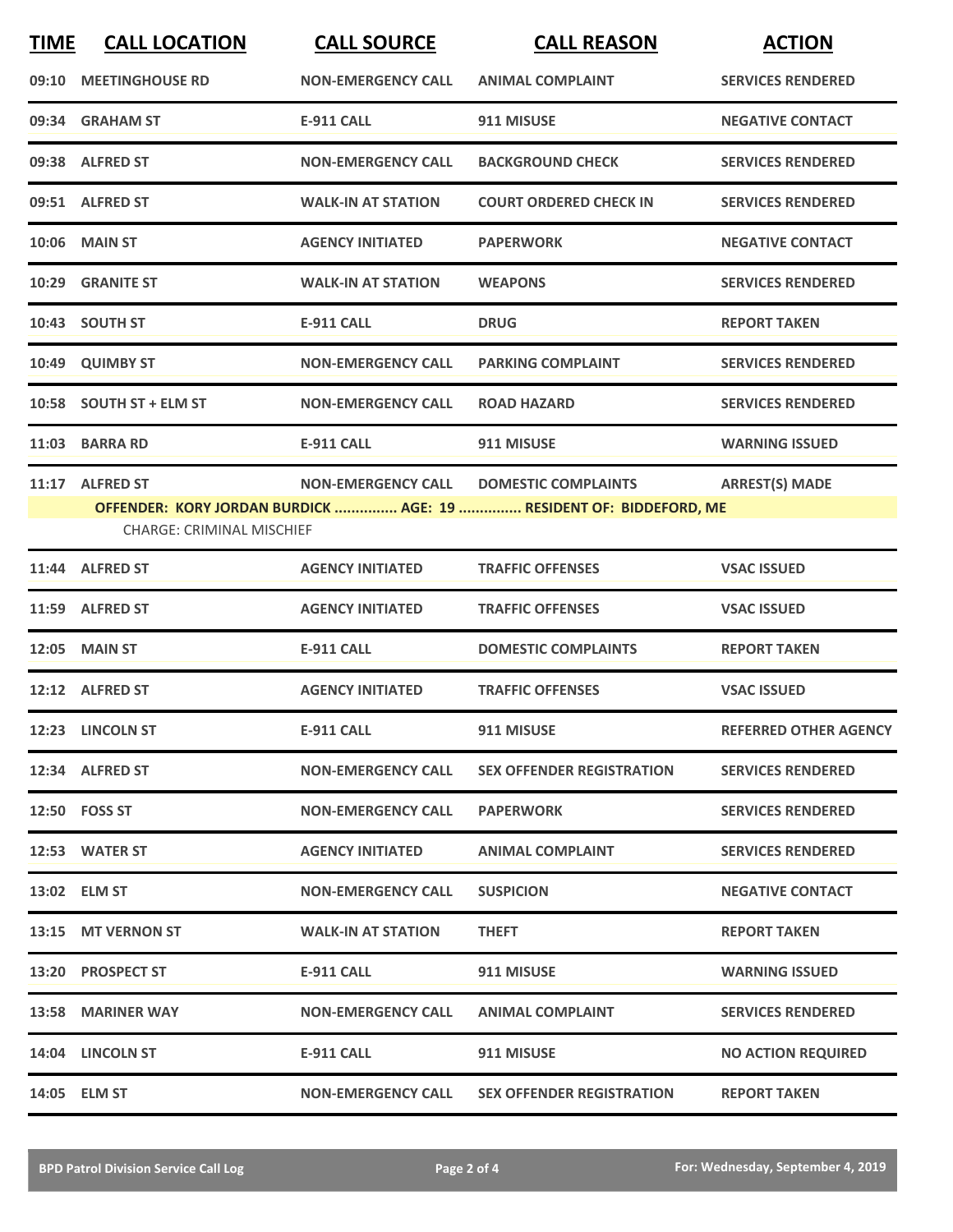| <b>TIME</b> | <b>CALL LOCATION</b>             | <b>CALL SOURCE</b>        | <b>CALL REASON</b>                                                 | <b>ACTION</b>                |
|-------------|----------------------------------|---------------------------|--------------------------------------------------------------------|------------------------------|
|             | 09:10 MEETINGHOUSE RD            | <b>NON-EMERGENCY CALL</b> | <b>ANIMAL COMPLAINT</b>                                            | <b>SERVICES RENDERED</b>     |
|             | 09:34 GRAHAM ST                  | <b>E-911 CALL</b>         | 911 MISUSE                                                         | <b>NEGATIVE CONTACT</b>      |
|             | 09:38 ALFRED ST                  | <b>NON-EMERGENCY CALL</b> | <b>BACKGROUND CHECK</b>                                            | <b>SERVICES RENDERED</b>     |
|             | 09:51 ALFRED ST                  | <b>WALK-IN AT STATION</b> | <b>COURT ORDERED CHECK IN</b>                                      | <b>SERVICES RENDERED</b>     |
|             | <b>10:06 MAIN ST</b>             | <b>AGENCY INITIATED</b>   | <b>PAPERWORK</b>                                                   | <b>NEGATIVE CONTACT</b>      |
|             | 10:29 GRANITE ST                 | <b>WALK-IN AT STATION</b> | <b>WEAPONS</b>                                                     | <b>SERVICES RENDERED</b>     |
|             | 10:43 SOUTH ST                   | <b>E-911 CALL</b>         | <b>DRUG</b>                                                        | <b>REPORT TAKEN</b>          |
| 10:49       | <b>QUIMBY ST</b>                 | <b>NON-EMERGENCY CALL</b> | <b>PARKING COMPLAINT</b>                                           | <b>SERVICES RENDERED</b>     |
|             | 10:58 SOUTH ST + ELM ST          | <b>NON-EMERGENCY CALL</b> | <b>ROAD HAZARD</b>                                                 | <b>SERVICES RENDERED</b>     |
|             | 11:03 BARRA RD                   | <b>E-911 CALL</b>         | 911 MISUSE                                                         | <b>WARNING ISSUED</b>        |
|             | 11:17 ALFRED ST                  | <b>NON-EMERGENCY CALL</b> | <b>DOMESTIC COMPLAINTS</b>                                         | <b>ARREST(S) MADE</b>        |
|             | <b>CHARGE: CRIMINAL MISCHIEF</b> |                           | OFFENDER: KORY JORDAN BURDICK  AGE: 19  RESIDENT OF: BIDDEFORD, ME |                              |
|             | 11:44 ALFRED ST                  | <b>AGENCY INITIATED</b>   | <b>TRAFFIC OFFENSES</b>                                            | <b>VSAC ISSUED</b>           |
|             | 11:59 ALFRED ST                  | <b>AGENCY INITIATED</b>   | <b>TRAFFIC OFFENSES</b>                                            | <b>VSAC ISSUED</b>           |
|             | <b>12:05 MAIN ST</b>             | <b>E-911 CALL</b>         | <b>DOMESTIC COMPLAINTS</b>                                         | <b>REPORT TAKEN</b>          |
|             | 12:12 ALFRED ST                  | <b>AGENCY INITIATED</b>   | <b>TRAFFIC OFFENSES</b>                                            | <b>VSAC ISSUED</b>           |
|             | 12:23 LINCOLN ST                 | <b>E-911 CALL</b>         | 911 MISUSE                                                         | <b>REFERRED OTHER AGENCY</b> |
|             | 12:34 ALFRED ST                  | <b>NON-EMERGENCY CALL</b> | <b>SEX OFFENDER REGISTRATION</b>                                   | <b>SERVICES RENDERED</b>     |
|             | 12:50 FOSS ST                    | <b>NON-EMERGENCY CALL</b> | <b>PAPERWORK</b>                                                   | <b>SERVICES RENDERED</b>     |
|             | 12:53 WATER ST                   | <b>AGENCY INITIATED</b>   | <b>ANIMAL COMPLAINT</b>                                            | <b>SERVICES RENDERED</b>     |
|             | 13:02 ELM ST                     | <b>NON-EMERGENCY CALL</b> | <b>SUSPICION</b>                                                   | <b>NEGATIVE CONTACT</b>      |
|             | 13:15 MT VERNON ST               | <b>WALK-IN AT STATION</b> | <b>THEFT</b>                                                       | <b>REPORT TAKEN</b>          |
|             | 13:20 PROSPECT ST                | <b>E-911 CALL</b>         | 911 MISUSE                                                         | <b>WARNING ISSUED</b>        |
|             | 13:58 MARINER WAY                | <b>NON-EMERGENCY CALL</b> | <b>ANIMAL COMPLAINT</b>                                            | <b>SERVICES RENDERED</b>     |
|             | 14:04 LINCOLN ST                 | <b>E-911 CALL</b>         | 911 MISUSE                                                         | <b>NO ACTION REQUIRED</b>    |
|             | 14:05 ELM ST                     | <b>NON-EMERGENCY CALL</b> | <b>SEX OFFENDER REGISTRATION</b>                                   | <b>REPORT TAKEN</b>          |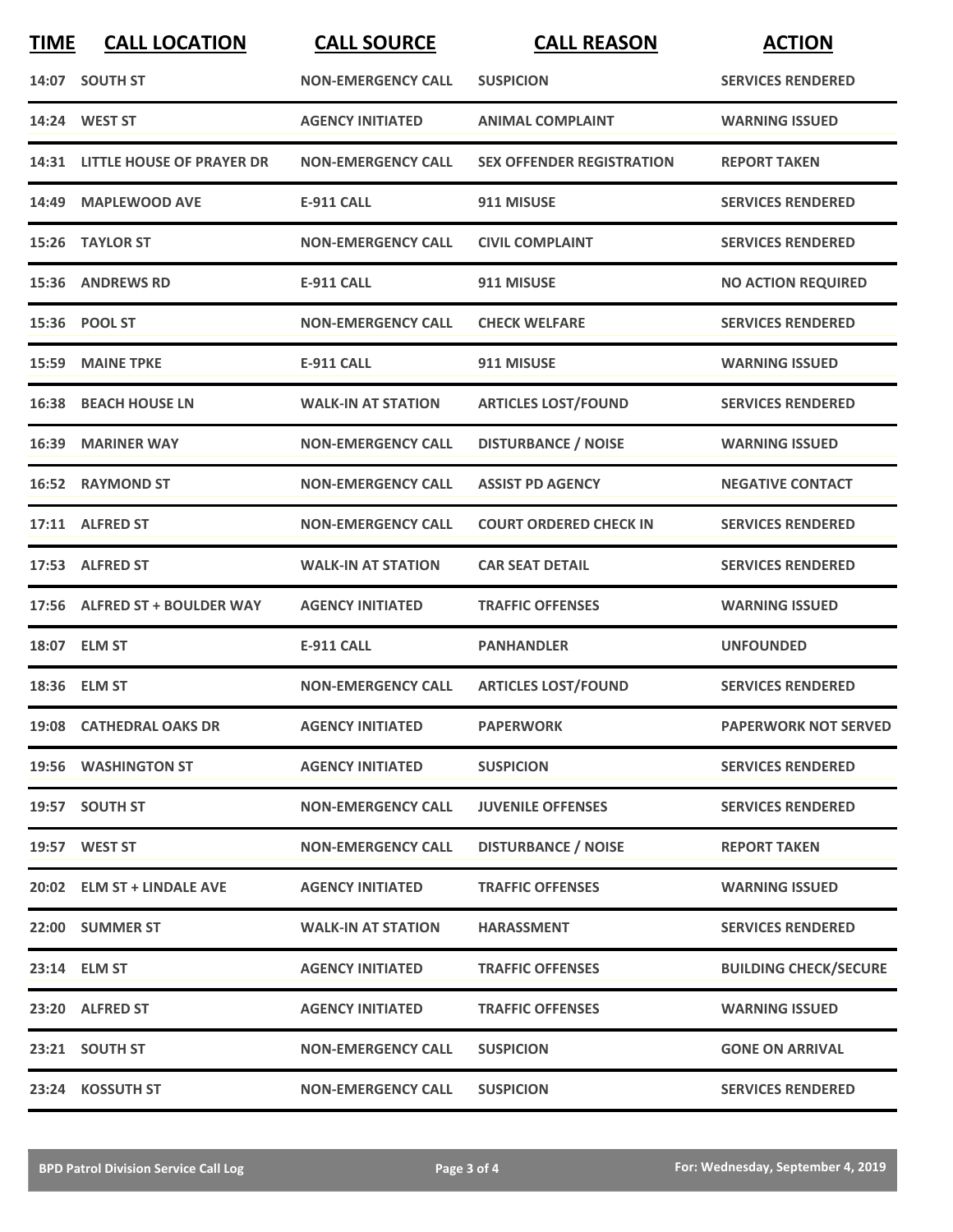| <b>TIME</b> | <b>CALL LOCATION</b>            | <b>CALL SOURCE</b>        | <b>CALL REASON</b>               | <b>ACTION</b>                |
|-------------|---------------------------------|---------------------------|----------------------------------|------------------------------|
|             | 14:07 SOUTH ST                  | <b>NON-EMERGENCY CALL</b> | <b>SUSPICION</b>                 | <b>SERVICES RENDERED</b>     |
|             | 14:24 WEST ST                   | <b>AGENCY INITIATED</b>   | <b>ANIMAL COMPLAINT</b>          | <b>WARNING ISSUED</b>        |
|             | 14:31 LITTLE HOUSE OF PRAYER DR | <b>NON-EMERGENCY CALL</b> | <b>SEX OFFENDER REGISTRATION</b> | <b>REPORT TAKEN</b>          |
|             | 14:49 MAPLEWOOD AVE             | <b>E-911 CALL</b>         | 911 MISUSE                       | <b>SERVICES RENDERED</b>     |
|             | 15:26 TAYLOR ST                 | <b>NON-EMERGENCY CALL</b> | <b>CIVIL COMPLAINT</b>           | <b>SERVICES RENDERED</b>     |
| 15:36       | <b>ANDREWS RD</b>               | <b>E-911 CALL</b>         | 911 MISUSE                       | <b>NO ACTION REQUIRED</b>    |
|             | 15:36 POOL ST                   | <b>NON-EMERGENCY CALL</b> | <b>CHECK WELFARE</b>             | <b>SERVICES RENDERED</b>     |
| 15:59       | <b>MAINE TPKE</b>               | <b>E-911 CALL</b>         | 911 MISUSE                       | <b>WARNING ISSUED</b>        |
| 16:38       | <b>BEACH HOUSE LN</b>           | <b>WALK-IN AT STATION</b> | <b>ARTICLES LOST/FOUND</b>       | <b>SERVICES RENDERED</b>     |
| 16:39       | <b>MARINER WAY</b>              | <b>NON-EMERGENCY CALL</b> | <b>DISTURBANCE / NOISE</b>       | <b>WARNING ISSUED</b>        |
|             | 16:52 RAYMOND ST                | <b>NON-EMERGENCY CALL</b> | <b>ASSIST PD AGENCY</b>          | <b>NEGATIVE CONTACT</b>      |
|             | 17:11 ALFRED ST                 | <b>NON-EMERGENCY CALL</b> | <b>COURT ORDERED CHECK IN</b>    | <b>SERVICES RENDERED</b>     |
|             | 17:53 ALFRED ST                 | <b>WALK-IN AT STATION</b> | <b>CAR SEAT DETAIL</b>           | <b>SERVICES RENDERED</b>     |
|             | 17:56 ALFRED ST + BOULDER WAY   | <b>AGENCY INITIATED</b>   | <b>TRAFFIC OFFENSES</b>          | <b>WARNING ISSUED</b>        |
|             | 18:07 ELM ST                    | <b>E-911 CALL</b>         | <b>PANHANDLER</b>                | <b>UNFOUNDED</b>             |
|             | 18:36 ELM ST                    | <b>NON-EMERGENCY CALL</b> | <b>ARTICLES LOST/FOUND</b>       | <b>SERVICES RENDERED</b>     |
|             | 19:08 CATHEDRAL OAKS DR         | <b>AGENCY INITIATED</b>   | <b>PAPERWORK</b>                 | <b>PAPERWORK NOT SERVED</b>  |
|             | 19:56 WASHINGTON ST             | <b>AGENCY INITIATED</b>   | <b>SUSPICION</b>                 | <b>SERVICES RENDERED</b>     |
|             | 19:57 SOUTH ST                  | <b>NON-EMERGENCY CALL</b> | <b>JUVENILE OFFENSES</b>         | <b>SERVICES RENDERED</b>     |
|             | 19:57 WEST ST                   | <b>NON-EMERGENCY CALL</b> | <b>DISTURBANCE / NOISE</b>       | <b>REPORT TAKEN</b>          |
|             | 20:02 ELM ST + LINDALE AVE      | <b>AGENCY INITIATED</b>   | <b>TRAFFIC OFFENSES</b>          | <b>WARNING ISSUED</b>        |
|             | 22:00 SUMMER ST                 | <b>WALK-IN AT STATION</b> | <b>HARASSMENT</b>                | <b>SERVICES RENDERED</b>     |
|             | 23:14 ELM ST                    | <b>AGENCY INITIATED</b>   | <b>TRAFFIC OFFENSES</b>          | <b>BUILDING CHECK/SECURE</b> |
|             | 23:20 ALFRED ST                 | <b>AGENCY INITIATED</b>   | <b>TRAFFIC OFFENSES</b>          | <b>WARNING ISSUED</b>        |
|             | 23:21 SOUTH ST                  | <b>NON-EMERGENCY CALL</b> | <b>SUSPICION</b>                 | <b>GONE ON ARRIVAL</b>       |
|             | 23:24 KOSSUTH ST                | <b>NON-EMERGENCY CALL</b> | <b>SUSPICION</b>                 | <b>SERVICES RENDERED</b>     |